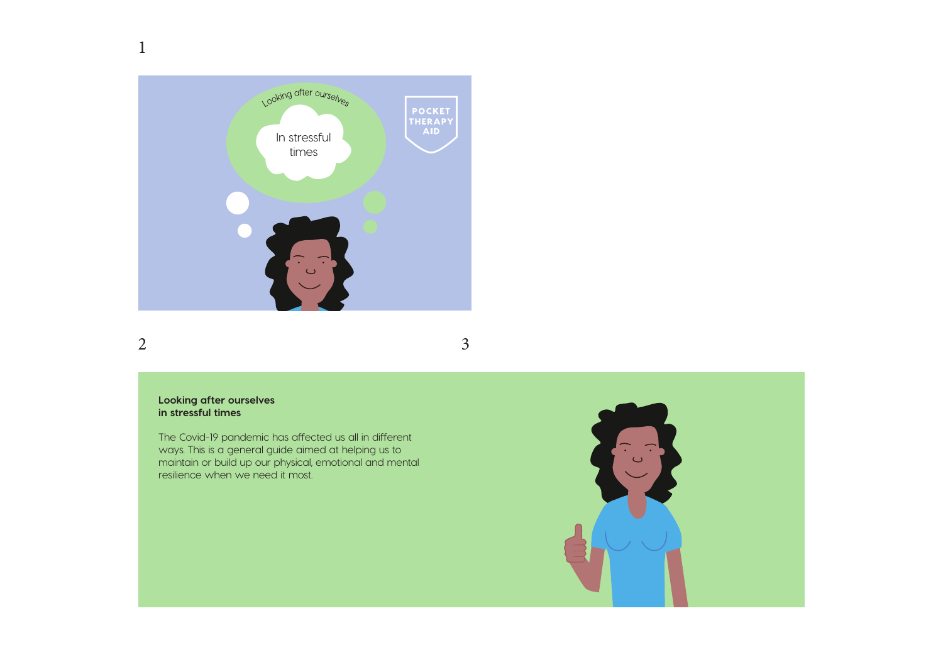

### 2 3

1

#### **Looking after ourselves in stressful times**

The Covid-19 pandemic has affected us all in different ways. This is a general guide aimed at helping us to maintain or build up our physical, emotional and mental resilience when we need it most.

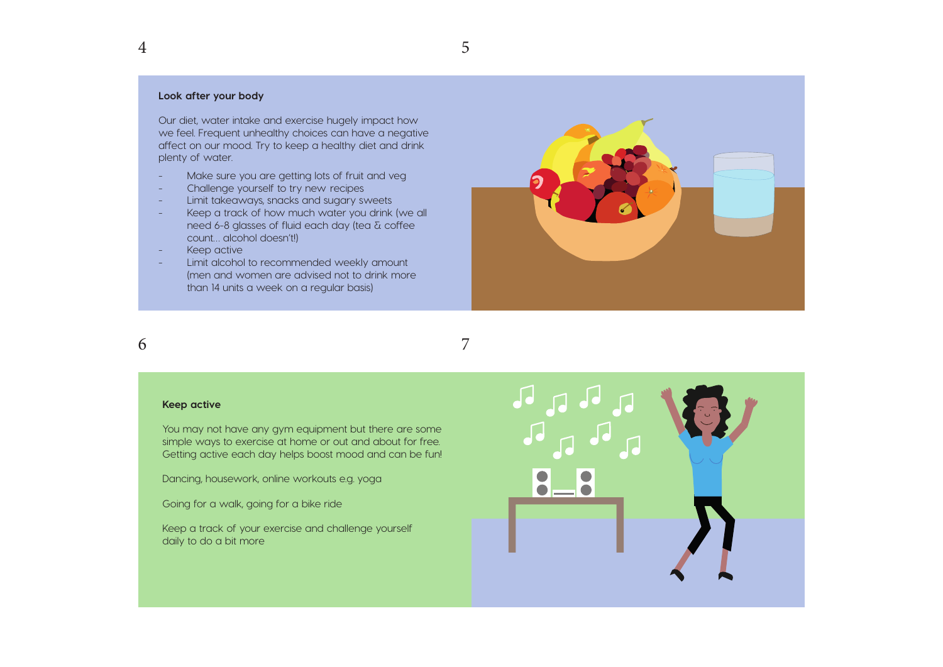#### **Look after your body**

Our diet, water intake and exercise hugely impact how we feel. Frequent unhealthy choices can have a negative affect on our mood. Try to keep a healthy diet and drink plenty of water.

- Make sure you are getting lots of fruit and veg
- Challenge yourself to try new recipes
- Limit takeaways, snacks and sugary sweets
- Keep a track of how much water you drink (we all need 6-8 glasses of fluid each day (tea  $\delta$  coffee count… alcohol doesn't!)
- Keep active
- Limit alcohol to recommended weekly amount (men and women are advised not to drink more than 14 units a week on a regular basis)



#### 6

4

7

#### **Keep active**

You may not have any gym equipment but there are some simple ways to exercise at home or out and about for free. Getting active each day helps boost mood and can be fun!

Dancing, housework, online workouts e.g. yoga

Going for a walk, going for a bike ride

Keep a track of your exercise and challenge yourself daily to do a bit more

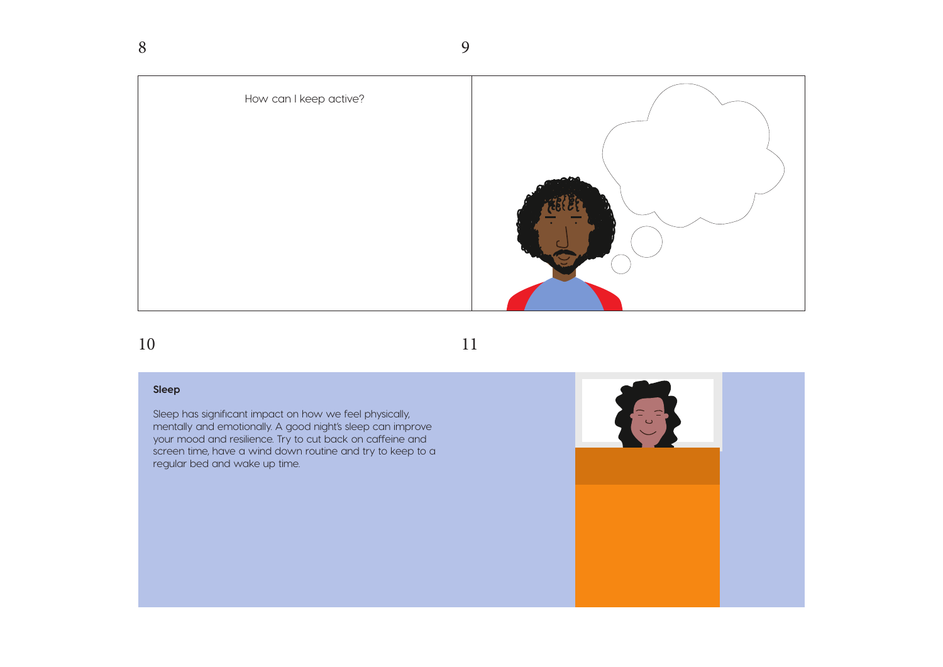How can I keep active?

9

## 10

#### **Sleep**

Sleep has significant impact on how we feel physically, mentally and emotionally. A good night's sleep can improve your mood and resilience. Try to cut back on caffeine and screen time, have a wind down routine and try to keep to a regular bed and wake up time.

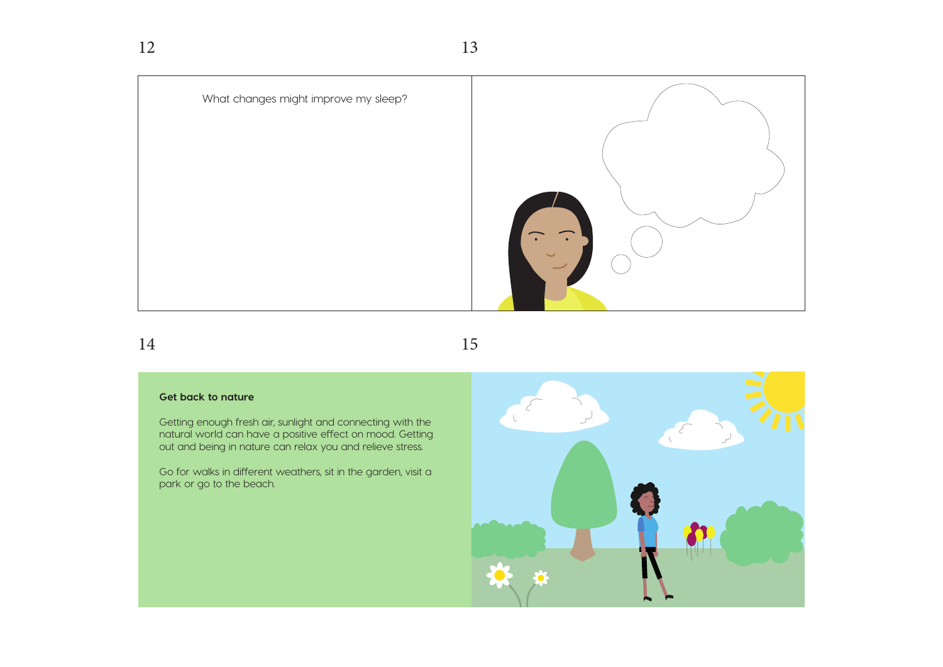

14

15

#### **Get back to nature**

Getting enough fresh air, sunlight and connecting with the natural world can have a positive effect on mood. Getting out and being in nature can relax you and relieve stress.

Go for walks in different weathers, sit in the garden, visit a park or go to the beach.

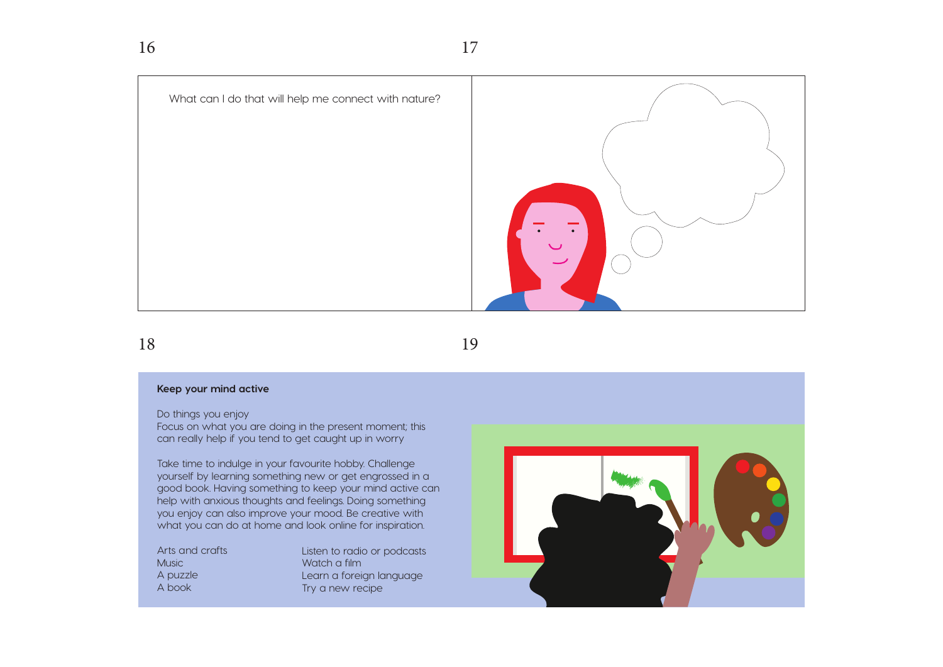What can I do that will help me connect with nature?

18

19

#### **Keep your mind active**

Do things you enjoy

Focus on what you are doing in the present moment; this can really help if you tend to get caught up in worry

Take time to indulge in your favourite hobby. Challenge yourself by learning something new or get engrossed in a good book. Having something to keep your mind active can help with anxious thoughts and feelings. Doing something you enjoy can also improve your mood. Be creative with what you can do at home and look online for inspiration.

Arts and crafts **Music** A puzzle A book

Listen to radio or podcasts Watch a film Learn a foreign language Try a new recipe

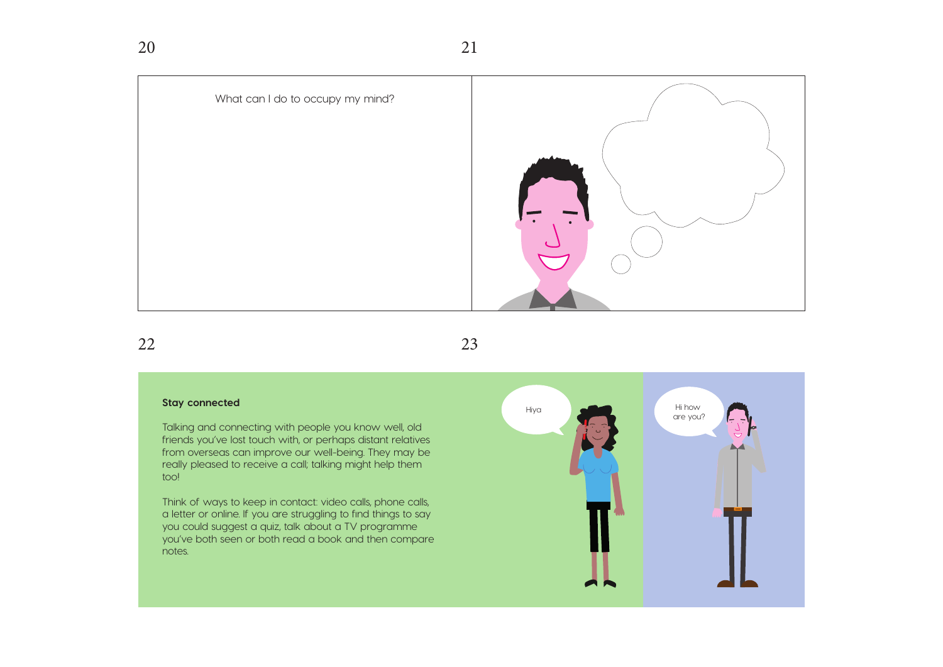

22

23

#### **Stay connected**

Talking and connecting with people you know well, old friends you've lost touch with, or perhaps distant relatives from overseas can improve our well-being. They may be really pleased to receive a call; talking might help them too!

Think of ways to keep in contact: video calls, phone calls, a letter or online. If you are struggling to find things to say you could suggest a quiz, talk about a TV programme you've both seen or both read a book and then compare notes.

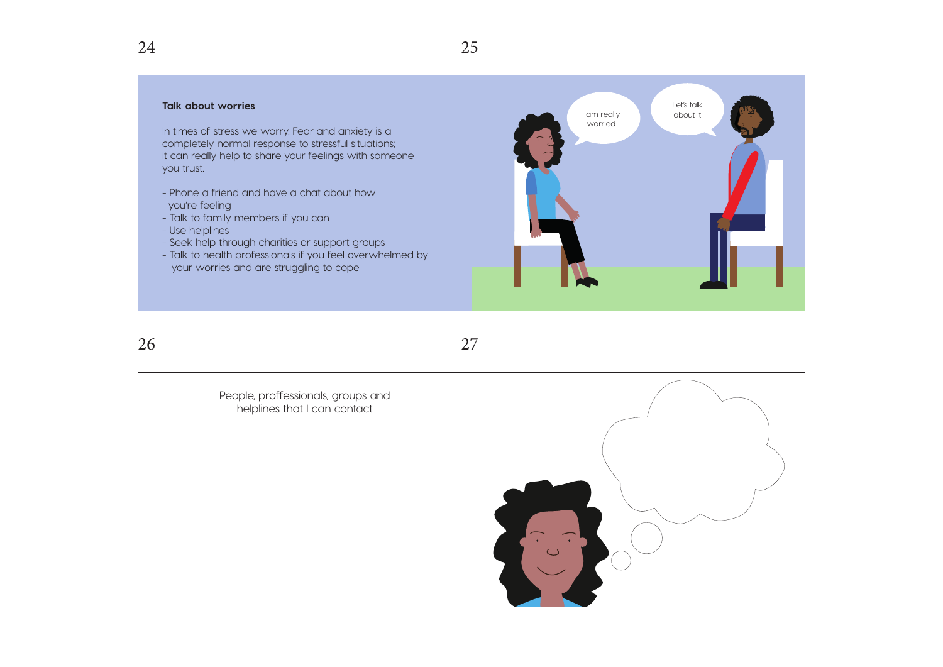#### **Talk about worries**

In times of stress we worry. Fear and anxiety is a completely normal response to stressful situations; it can really help to share your feelings with someone you trust.

- Phone a friend and have a chat about how you're feeling
- Talk to family members if you can
- Use helplines
- Seek help through charities or support groups
- Talk to health professionals if you feel overwhelmed by your worries and are struggling to cope



26

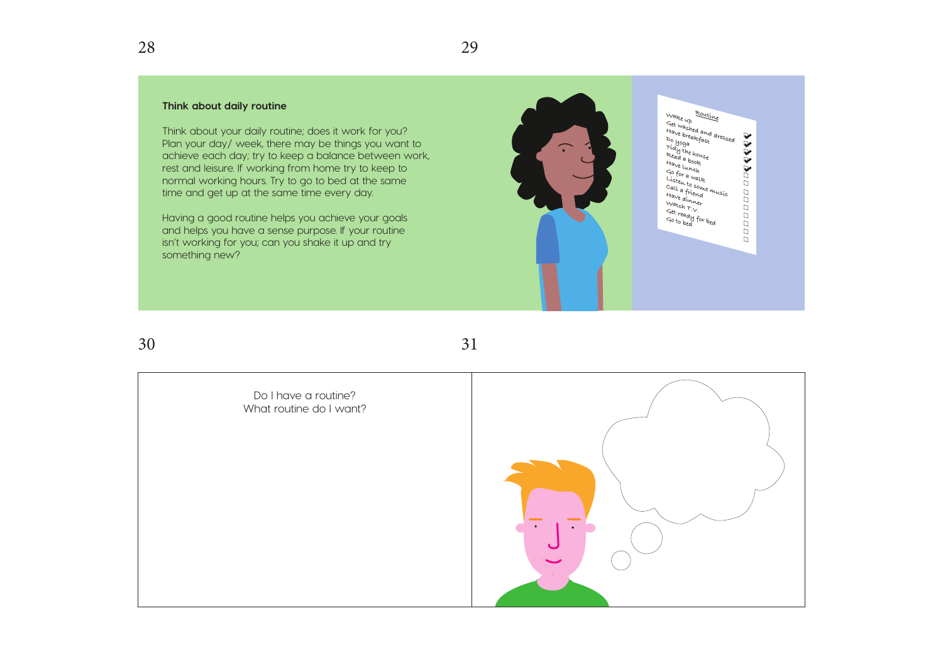#### **Think about daily routine**

Think about your daily routine; does it work for you? Plan your day/ week, there may be things you want to achieve each day; try to keep a balance between work, rest and leisure. If working from home try to keep to normal working hours. Try to go to bed at the same time and get up at the same time every day.

Having a good routine helps you achieve your goals and helps you have a sense purpose. If your routine isn't working for you; can you shake it up and try something new?



30

28

Do I have a routine? What routine do I want?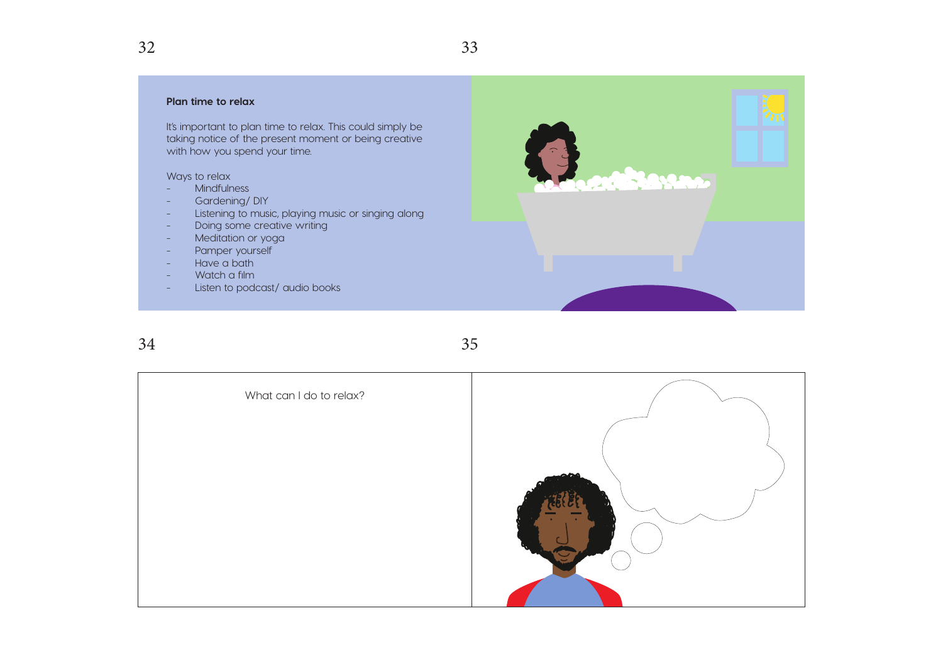#### **Plan time to relax**

It's important to plan time to relax. This could simply be taking notice of the present moment or being creative with how you spend your time.

Ways to relax

- Mindfulness
- Gardening/DIY
- Listening to music, playing music or singing along
- Doing some creative writing
- Meditation or yoga
- Pamper yourself
- Have a bath
- Watch a film
- Listen to podcast/ audio books

34



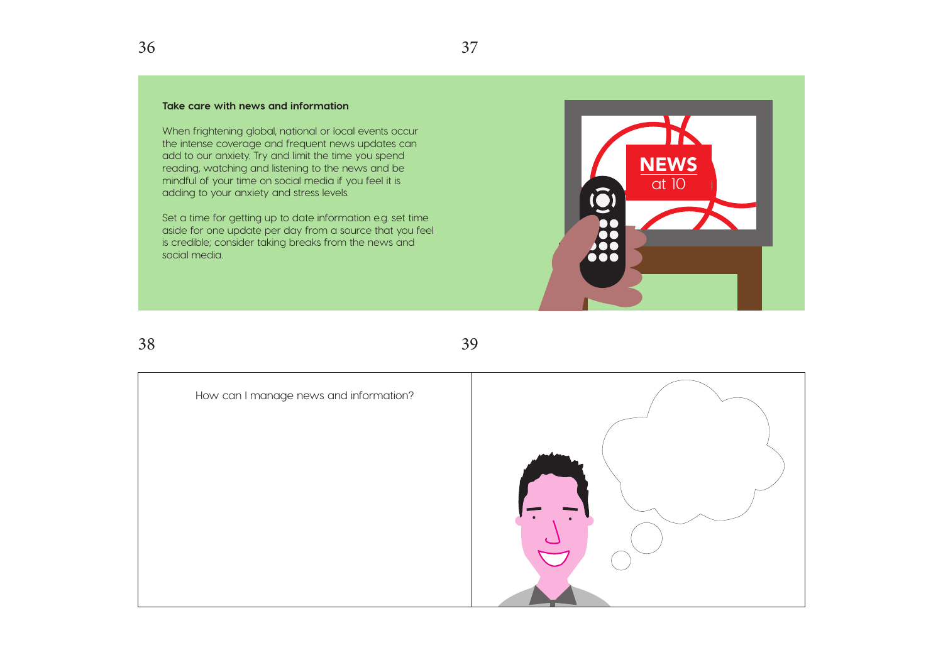When frightening global, national or local events occur the intense coverage and frequent news updates can add to our anxiety. Try and limit the time you spend reading, watching and listening to the news and be mindful of your time on social media if you feel it is adding to your anxiety and stress levels.

Set a time for getting up to date information e.g. set time aside for one update per day from a source that you feel is credible; consider taking breaks from the news and social media.



38

39

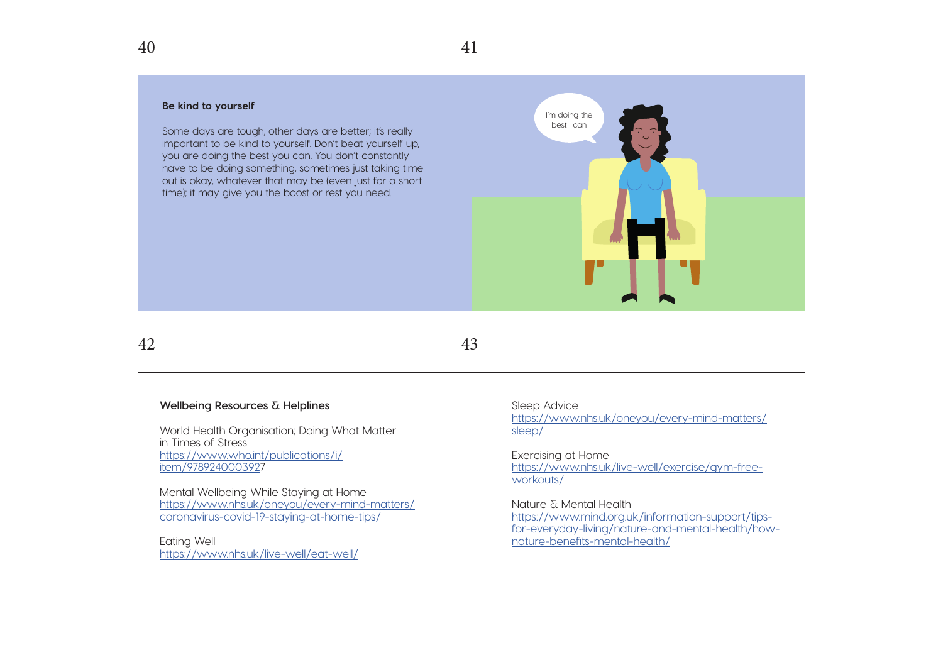#### **Be kind to yourself**

Some days are tough, other days are better; it's really important to be kind to yourself. Don't beat yourself up, you are doing the best you can. You don't constantly have to be doing something, sometimes just taking time out is okay, whatever that may be (even just for a short time); it may give you the boost or rest you need.



42

43

#### **Wellbeing Resources & Helplines**

World Health Organisation; Doing What Matter in Times of Stress https://www.who.int/publications/i/ item/9789240003927

Mental Wellbeing While Staying at Home https://www.nhs.uk/oneyou/every-mind-matters/ coronavirus-covid-19-staying-at-home-tips/

Eating Well https://www.nhs.uk/live-well/eat-well/ Sleep Advice https://www.nhs.uk/oneyou/every-mind-matters/ sleep/

Exercising at Home https://www.nhs.uk/live-well/exercise/gym-freeworkouts/

Nature & Mental Health https://www.mind.org.uk/information-support/tipsfor-everyday-living/nature-and-mental-health/hownature-benefits-mental-health/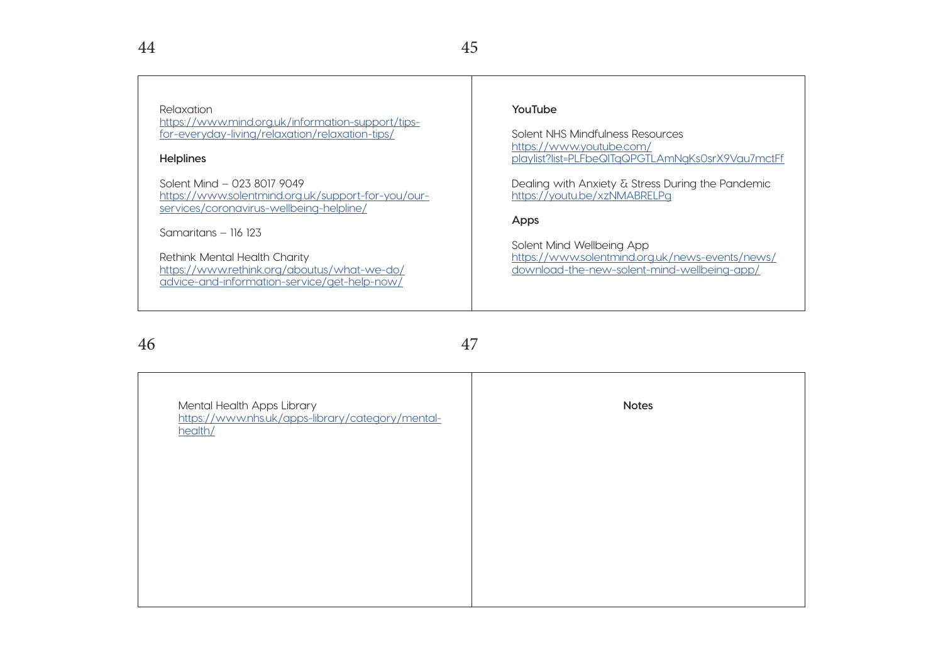### Relaxation

https://www.mind.org.uk/information-support/tipsfor-everyday-living/relaxation/relaxation-tips/

#### **Helplines**

Solent Mind – 023 8017 9049 https://www.solentmind.org.uk/support-for-you/ourservices/coronavirus-wellbeing-helpline/

Samaritans – 116 123

Rethink Mental Health Charity https://www.rethink.org/aboutus/what-we-do/ advice-and-information-service/get-help-now/

#### **YouTube**

Solent NHS Mindfulness Resources https://www.youtube.com/ playlist?list=PLFbeQlTqQPGTLAmNgKs0srX9Vau7mctFf

Dealing with Anxiety & Stress During the Pandemic https://youtu.be/xzNMABRELPg

#### **Apps**

Solent Mind Wellbeing App https://www.solentmind.org.uk/news-events/news/ download-the-new-solent-mind-wellbeing-app/

46

| Mental Health Apps Library<br>https://www.nhs.uk/apps-library/category/mental-<br>health/ | <b>Notes</b> |
|-------------------------------------------------------------------------------------------|--------------|
|                                                                                           |              |
|                                                                                           |              |